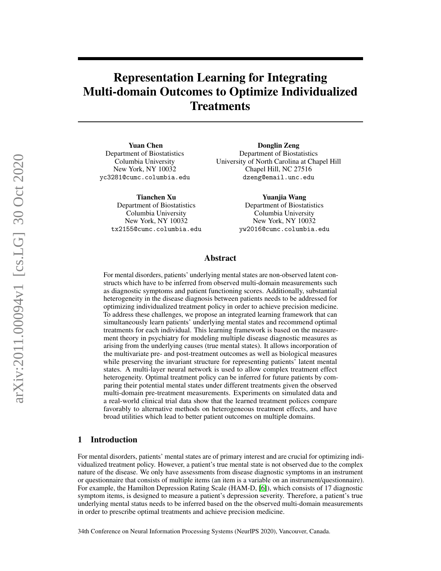# Representation Learning for Integrating Multi-domain Outcomes to Optimize Individualized **Treatments**

Yuan Chen Department of Biostatistics Columbia University New York, NY 10032 yc3281@cumc.columbia.edu

> Tianchen Xu Department of Biostatistics Columbia University New York, NY 10032 tx2155@cumc.columbia.edu

Donglin Zeng Department of Biostatistics University of North Carolina at Chapel Hill Chapel Hill, NC 27516 dzeng@email.unc.edu

> Yuanjia Wang Department of Biostatistics Columbia University New York, NY 10032 yw2016@cumc.columbia.edu

## Abstract

For mental disorders, patients' underlying mental states are non-observed latent constructs which have to be inferred from observed multi-domain measurements such as diagnostic symptoms and patient functioning scores. Additionally, substantial heterogeneity in the disease diagnosis between patients needs to be addressed for optimizing individualized treatment policy in order to achieve precision medicine. To address these challenges, we propose an integrated learning framework that can simultaneously learn patients' underlying mental states and recommend optimal treatments for each individual. This learning framework is based on the measurement theory in psychiatry for modeling multiple disease diagnostic measures as arising from the underlying causes (true mental states). It allows incorporation of the multivariate pre- and post-treatment outcomes as well as biological measures while preserving the invariant structure for representing patients' latent mental states. A multi-layer neural network is used to allow complex treatment effect heterogeneity. Optimal treatment policy can be inferred for future patients by comparing their potential mental states under different treatments given the observed multi-domain pre-treatment measurements. Experiments on simulated data and a real-world clinical trial data show that the learned treatment polices compare favorably to alternative methods on heterogeneous treatment effects, and have broad utilities which lead to better patient outcomes on multiple domains.

# <span id="page-0-0"></span>1 Introduction

For mental disorders, patients' mental states are of primary interest and are crucial for optimizing individualized treatment policy. However, a patient's true mental state is not observed due to the complex nature of the disease. We only have assessments from disease diagnostic symptoms in an instrument or questionnaire that consists of multiple items (an item is a variable on an instrument/questionnaire). For example, the Hamilton Depression Rating Scale (HAM-D, [\[6\]](#page-9-0)), which consists of 17 diagnostic symptom items, is designed to measure a patient's depression severity. Therefore, a patient's true underlying mental status needs to be inferred based on the the observed multi-domain measurements in order to prescribe optimal treatments and achieve precision medicine.

34th Conference on Neural Information Processing Systems (NeurIPS 2020), Vancouver, Canada.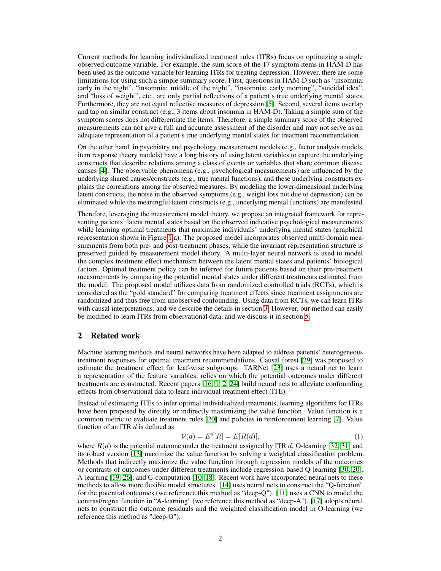Current methods for learning individualized treatment rules (ITRs) focus on optimizing a single observed outcome variable. For example, the sum score of the 17 symptom items in HAM-D has been used as the outcome variable for learning ITRs for treating depression. However, there are some limitations for using such a simple summary score. First, questions in HAM-D such as "insomnia: early in the night", "insomnia: middle of the night", "insomnia: early morning", "suicidal idea", and "loss of weight", etc., are only partial reflections of a patient's true underlying mental states. Furthermore, they are not equal reflective measures of depression [\[5\]](#page-9-1). Second, several items overlap and tap on similar construct  $(e.g., 3$  items about insomnia in  $HAM-D$ ). Taking a simple sum of the symptom scores does not differentiate the items. Therefore, a simple summary score of the observed measurements can not give a full and accurate assessment of the disorder and may not serve as an adequate representation of a patient's true underlying mental states for treatment recommendation.

On the other hand, in psychiatry and psychology, measurement models (e.g., factor analysis models, item response theory models) have a long history of using latent variables to capture the underlying constructs that describe relations among a class of events or variables that share common disease causes [\[4\]](#page-9-2). The observable phenomena (e.g., psychological measurements) are influenced by the underlying shared causes/constructs (e.g., true mental functions), and these underlying constructs explains the correlations among the observed measures. By modeling the lower-dimensional underlying latent constructs, the noise in the observed symptoms (e.g., weight loss not due to depression) can be eliminated while the meaningful latent constructs (e.g., underlying mental functions) are manifested.

Therefore, leveraging the measurement model theory, we propose an integrated framework for representing patients' latent mental states based on the observed indicative psychological measurements while learning optimal treatments that maximize individuals' underlying mental states (graphical representation shown in Figure [1.](#page-3-0)a). The proposed model incorporates observed multi-domain measurements from both pre- and post-treatment phases, while the invariant representation structure is preserved guided by measurement model theory. A multi-layer neural network is used to model the complex treatment effect mechanism between the latent mental states and patients' biological factors. Optimal treatment policy can be inferred for future patients based on their pre-treatment measurements by comparing the potential mental states under different treatments estimated from the model. The proposed model utilizes data from randomized controlled trials (RCTs), which is considered as the "gold standard" for comparing treatment effects since treatment assignments are randomized and thus free from unobserved confounding. Using data from RCTs, we can learn ITRs with causal interpretations, and we describe the details in section [3.](#page-2-0) However, our method can easily be modified to learn ITRs from observational data, and we discuss it in section [5.](#page-8-0)

## <span id="page-1-0"></span>2 Related work

Machine learning methods and neural networks have been adapted to address patients' heterogeneous treatment responses for optimal treatment recommendations. Causal forest [\[29\]](#page-10-0) was proposed to estimate the treatment effect for leaf-wise subgroups. TARNet [\[23\]](#page-10-1) uses a neural net to learn a representation of the feature variables, relies on which the potential outcomes under different treatments are constructed. Recent papers [\[16,](#page-10-2) [1,](#page-9-3) [2,](#page-9-4) [24\]](#page-10-3) build neural nets to alleviate confounding effects from observational data to learn individual treatment effect (ITE).

Instead of estimating ITEs to infer optimal individualized treatments, learning algorithms for ITRs have been proposed by directly or indirectly maximizing the value function. Value function is a common metric to evaluate treatment rules [\[20\]](#page-10-4) and policies in reinforcement learning [\[7\]](#page-9-5). Value function of an ITR  $d$  is defined as

$$
\mathcal{V}(d) = E^d[R] = E[R(d)],\tag{1}
$$

where  $R(d)$  is the potential outcome under the treatment assigned by ITR d. O-learning [\[32,](#page-10-5) [31\]](#page-10-6) and its robust version [\[13\]](#page-9-6) maximize the value function by solving a weighted classification problem. Methods that indirectly maximize the value function through regression models of the outcomes or contrasts of outcomes under different treatments include regression-based Q-learning [\[30,](#page-10-7) [20\]](#page-10-4), A-learning [\[19,](#page-10-8) [26\]](#page-10-9), and G-computation [\[10,](#page-9-7) [18\]](#page-10-10). Recent work have incorporated neural nets to these methods to allow more flexible model structures. [\[14\]](#page-9-8) uses neural nets to construct the "Q-function" for the potential outcomes (we reference this method as "deep-Q"). [\[11\]](#page-9-9) uses a CNN to model the contrast/regret function in "A-learning" (we reference this method as "deep-A"). [\[17\]](#page-10-11) adopts neural nets to construct the outcome residuals and the weighted classification model in O-learning (we reference this method as "deep-O").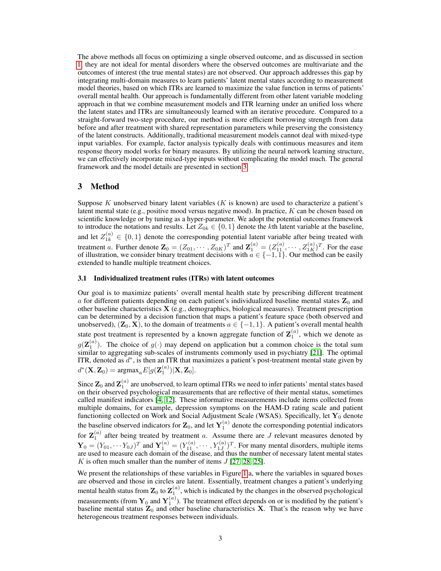The above methods all focus on optimizing a single observed outcome, and as discussed in section [1,](#page-0-0) they are not ideal for mental disorders where the observed outcomes are multivariate and the outcomes of interest (the true mental states) are not observed. Our approach addresses this gap by integrating multi-domain measures to learn patients' latent mental states according to measurement model theories, based on which ITRs are learned to maximize the value function in terms of patients' overall mental health. Our approach is fundamentally different from other latent variable modeling approach in that we combine measurement models and ITR learning under an unified loss where the latent states and ITRs are simultaneously learned with an iterative procedure. Compared to a straight-forward two-step procedure, our method is more efficient borrowing strength from data before and after treatment with shared representation parameters while preserving the consistency of the latent constructs. Additionally, traditional measurement models cannot deal with mixed-type input variables. For example, factor analysis typically deals with continuous measures and item response theory model works for binary measures. By utilizing the neural network learning structure, we can effectively incorporate mixed-type inputs without complicating the model much. The general framework and the model details are presented in section [3.](#page-2-0)

# <span id="page-2-0"></span>3 Method

Suppose K unobserved binary latent variables  $(K$  is known) are used to characterize a patient's latent mental state (e.g., positive mood versus negative mood). In practice,  $K$  can be chosen based on scientific knowledge or by tuning as a hyper-parameter. We adopt the potential outcomes framework to introduce the notations and results. Let  $Z_{0k} \in \{0,1\}$  denote the kth latent variable at the baseline, and let  $Z_{1k}^{(a)} \in \{0,1\}$  denote the corresponding potential latent variable after being treated with treatment a. Further denote  $\mathbf{Z}_0 = (Z_{01}, \cdots, Z_{0K})^T$  and  $\mathbf{Z}_1^{(a)} = (Z_{11}^{(a)}, \cdots, Z_{1K}^{(a)})^T$ . For the ease of illustration, we consider binary treatment decisions with  $a \in \{-1, 1\}$ . Our method can be easily extended to handle multiple treatment choices.

#### <span id="page-2-1"></span>3.1 Individualized treatment rules (ITRs) with latent outcomes

Our goal is to maximize patients' overall mental health state by prescribing different treatment  $a$  for different patients depending on each patient's individualized baseline mental states  $\mathbf{Z}_0$  and other baseline characteristics X (e.g., demographics, biological measures). Treatment prescription can be determined by a decision function that maps a patient's feature space (both observed and unobserved),  $(\mathbf{Z}_0, \mathbf{X})$ , to the domain of treatments  $a \in \{-1, 1\}$ . A patient's overall mental health state post treatment is represented by a known aggregate function of  $\mathbf{Z}_1^{(a)}$ , which we denote as  $g(\mathbf{Z}_{1}^{(a)})$ . The choice of  $g(\cdot)$  may depend on application but a common choice is the total sum similar to aggregating sub-scales of instruments commonly used in psychiatry [\[21\]](#page-10-12). The optimal ITR, denoted as  $d^*$ , is then an ITR that maximizes a patient's post-treatment mental state given by  $d^*(\mathbf{X}, \mathbf{Z}_0) = \text{argmax}_a E[g(\mathbf{Z}_1^{(a)})|\mathbf{X}, \mathbf{Z}_0].$ 

Since  ${\bf Z}_0$  and  ${\bf Z}_1^{(a)}$  are unobserved, to learn optimal ITRs we need to infer patients' mental states based on their observed psychological measurements that are reflective of their mental status, sometimes called manifest indicators [\[4,](#page-9-2) [12\]](#page-9-10). These informative measurements include items collected from multiple domains, for example, depression symptoms on the HAM-D rating scale and patient functioning collected on Work and Social Adjustment Scale (WSAS). Specifically, let  $\mathbf{Y}_0$  denote the baseline observed indicators for  $\mathbf{Z}_0$ , and let  $\mathbf{Y}_1^{(a)}$  denote the corresponding potential indicators for  $\mathbf{Z}_1^{(a)}$  after being treated by treatment a. Assume there are J relevant measures denoted by  $\mathbf{Y}_0 = (Y_{01}, \cdots Y_{0J})^T$  and  $\mathbf{Y}_1^{(a)} = (Y_{11}^{(a)}, \cdots, Y_{1J}^{(a)})^T$ . For many mental disorders, multiple items are used to measure each domain of the disease, and thus the number of necessary latent mental states K is often much smaller than the number of items  $J$  [\[27,](#page-10-13) [28,](#page-10-14) [25\]](#page-10-15).

We present the relationships of these variables in Figure [1.](#page-3-0)a, where the variables in squared boxes are observed and those in circles are latent. Essentially, treatment changes a patient's underlying mental health status from  $\mathbf{Z}_0$  to  $\mathbf{Z}_1^{(a)}$ , which is indicated by the changes in the observed psychological measurements (from  $Y_0$  and  $Y_1^{(a)}$ ). The treatment effect depends on or is modified by the patient's baseline mental status  $\mathbf{Z}_0$  and other baseline characteristics  $\mathbf{X}$ . That's the reason why we have heterogeneous treatment responses between individuals.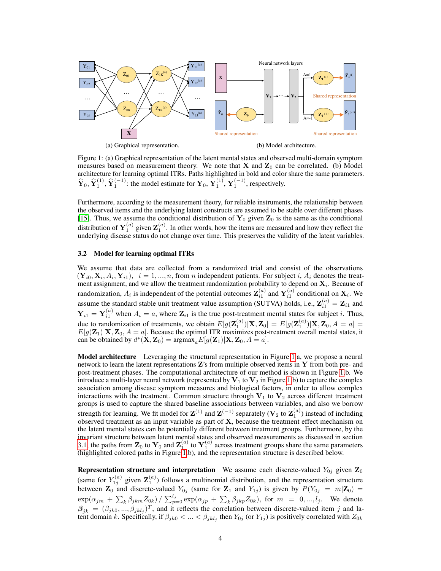<span id="page-3-0"></span>

Figure 1: (a) Graphical representation of the latent mental states and observed multi-domain symptom measures based on measurement theory. We note that  $X$  and  $Z_0$  can be correlated. (b) Model architecture for learning optimal ITRs. Paths highlighted in bold and color share the same parameters.  $\hat{\mathbf{Y}}_0$ ,  $\hat{\mathbf{Y}}_1^{(1)}$ ,  $\hat{\mathbf{Y}}_1^{(-1)}$ : the model estimate for  $\mathbf{Y}_0$ ,  $\mathbf{Y}_1^{(1)}$ ,  $\mathbf{Y}_1^{(-1)}$ , respectively.

Furthermore, according to the measurement theory, for reliable instruments, the relationship between the observed items and the underlying latent constructs are assumed to be stable over different phases [\[15\]](#page-10-16). Thus, we assume the conditional distribution of  $Y_0$  given  $Z_0$  is the same as the conditional distribution of  $Y_1^{(a)}$  given  $Z_1^{(a)}$ . In other words, how the items are measured and how they reflect the underlying disease status do not change over time. This preserves the validity of the latent variables.

#### <span id="page-3-1"></span>3.2 Model for learning optimal ITRs

We assume that data are collected from a randomized trial and consist of the observations  $(\mathbf{Y}_{i0}, \mathbf{X}_i, A_i, \mathbf{Y}_{i1}), i = 1, ..., n$ , from *n* independent patients. For subject i,  $A_i$  denotes the treatment assignment, and we allow the treatment randomization probability to depend on  $\mathbf{X}_i$ . Because of randomization,  $A_i$  is independent of the potential outcomes  $\mathbf{Z}_{i1}^{(a)}$  and  $\mathbf{Y}_{i1}^{(a)}$  conditional on  $\mathbf{X}_i$ . We assume the standard stable unit treatment value assumption (SUTVA) holds, i.e.,  $\mathbf{Z}_{i1}^{(a)} = \mathbf{Z}_{i1}$  and  $Y_{i1} = Y_{i1}^{(a)}$  when  $A_i = a$ , where  $\mathbb{Z}_{i1}$  is the true post-treatment mental states for subject *i*. Thus, due to randomization of treatments, we obtain  $E[g(\mathbf{Z}_{1}^{(a)})|\mathbf{X},\mathbf{Z}_{0}] = E[g(\mathbf{Z}_{1}^{(a)})|\mathbf{X},\mathbf{Z}_{0},A=a] =$  $E[g(\mathbf{Z}_1)|\mathbf{X}, \mathbf{Z}_0, A = a]$ . Because the optimal ITR maximizes post-treatment overall mental states, it can be obtained by  $d^*(\mathbf{X}, \mathbf{Z}_0) = \text{argmax}_a E[g(\mathbf{Z}_1)|\mathbf{X}, \mathbf{Z}_0, A = a].$ 

Model architecture Leveraging the structural representation in Figure [1.](#page-3-0)a, we propose a neural network to learn the latent representations Z's from multiple observed items in Y from both pre- and post-treatment phases. The computational architecture of our method is shown in Figure [1.](#page-3-0)b. We introduce a multi-layer neural network (represented by  $V_1$  to  $V_2$  in Figure [1.](#page-3-0)b) to capture the complex association among disease symptom measures and biological factors, in order to allow complex interactions with the treatment. Common structure through  $V_1$  to  $V_2$  across different treatment groups is used to capture the shared baseline associations between variables, and also we borrow strength for learning. We fit model for  $\mathbf{Z}^{(1)}$  and  $\mathbf{Z}^{(-1)}$  separately ( $\mathbf{V}_2$  to  $\mathbf{Z}_1^{(a)}$ ) instead of including observed treatment as an input variable as part of  $X$ , because the treatment effect mechanism on the latent mental states can be potentially different between treatment groups. Furthermore, by the invariant structure between latent mental states and observed measurements as discussed in section [3.1,](#page-2-1) the paths from  $\mathbf{Z}_0$  to  $\mathbf{Y}_0$  and  $\mathbf{Z}_1^{(a)}$  to  $\mathbf{Y}_1^{(a)}$  across treatment groups share the same parameters (highlighted colored paths in Figure [1.](#page-3-0)b), and the representation structure is described below.

**Representation structure and interpretation** We assume each discrete-valued  $Y_{0j}$  given  $\mathbf{Z}_0$ (same for  $Y_{1j}^{(a)}$  given  $\mathbf{Z}_1^{(a)}$ ) follows a multinomial distribution, and the representation structure between  $\mathbf{Z}_0$  and discrete-valued  $Y_{0j}$  (same for  $\mathbf{Z}_1$  and  $Y_{1j}$ ) is given by  $P(Y_{0j} = m|\mathbf{Z}_0) =$  $\exp(\alpha_{jm} + \sum_k \beta_{jkm} Z_{0k}) / \sum_{p=0}^{l_j} \exp(\alpha_{jp} + \sum_k \beta_{jkp} Z_{0k}),$  for  $m = 0, ..., l_j$ . We denote  $\beta_{jk} = (\beta_{jk0}, ..., \beta_{jklj})^T$ , and it reflects the correlation between discrete-valued item j and latent domain k. Specifically, if  $\beta_{jk0} < ... < \beta_{jkl_j}$  then  $Y_{0j}$  (or  $Y_{1j}$ ) is positively correlated with  $Z_{0k}$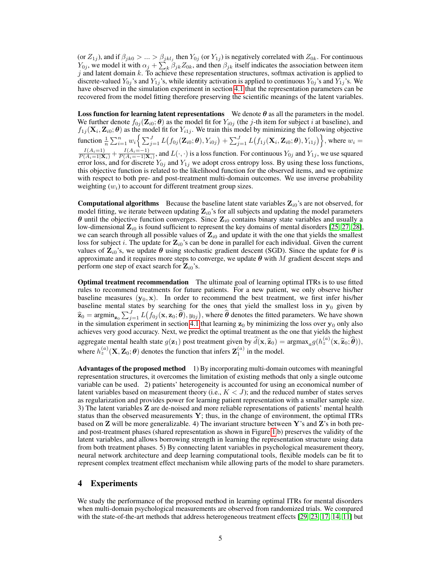(or  $Z_{1j}$ ), and if  $\beta_{jk0} > ... > \beta_{jkl_j}$  then  $Y_{0j}$  (or  $Y_{1j}$ ) is negatively correlated with  $Z_{0k}$ . For continuous  $Y_{0j}$ , we model it with  $\alpha_j + \sum_k \beta_{jk} Z_{0k}$ , and then  $\beta_{jk}$  itself indicates the association between item j and latent domain  $k$ . To achieve these representation structures, softmax activation is applied to discrete-valued  $Y_{0i}$ 's and  $Y_{1i}$ 's, while identity activation is applied to continuous  $Y_{0i}$ 's and  $Y_{1i}$ 's. We have observed in the simulation experiment in section [4.1](#page-5-0) that the representation parameters can be recovered from the model fitting therefore preserving the scientific meanings of the latent variables.

**Loss function for learning latent representations** We denote  $\theta$  as all the parameters in the model. We further denote  $f_{0j}(\mathbf{Z}_{i0}; \theta)$  as the model fit for  $Y_{i0j}$  (the j-th item for subject i at baseline), and  $f_{1j}(\mathbf{X}_i, \mathbf{Z}_{i0}; \theta)$  as the model fit for  $Y_{i1j}$ . We train this model by minimizing the following objective function  $\frac{1}{n}\sum_{i=1}^n w_i \Big\{ \sum_{j=1}^J L\big(f_{0j}(\mathbf{Z}_{i0}; \boldsymbol{\theta}), Y_{i0j}\big) + \sum_{j=1}^J L\big(f_{1j}(\mathbf{X}_i, \mathbf{Z}_{i0}; \boldsymbol{\theta}), Y_{i1j}\big) \Big\},$  where  $w_i =$  $\frac{I(A_i=1)}{P(A_i=1|\mathbf{X}_i)} + \frac{I(A_i=-1)}{P(A_i=-1|\mathbf{X}_i)}$  $\frac{I(A_i=-1)}{P(A_i=-1|\mathbf{X}_i)}$ , and  $L(\cdot,\cdot)$  is a loss function. For continuous  $Y_{0j}$  and  $Y_{1j}$ , we use squared error loss, and for discrete  $Y_{0j}$  and  $Y_{1j}$  we adopt cross entropy loss. By using these loss functions, this objective function is related to the likelihood function for the observed items, and we optimize with respect to both pre- and post-treatment multi-domain outcomes. We use inverse probability weighting  $(w_i)$  to account for different treatment group sizes.

**Computational algorithms** Because the baseline latent state variables  $\mathbf{Z}_{i0}$ 's are not observed, for model fitting, we iterate between updating  $\mathbf{Z}_{i0}$ 's for all subjects and updating the model parameters  $\theta$  until the objective function converges. Since  $\mathbf{Z}_{i0}$  contains binary state variables and usually a low-dimensional  $\mathbf{Z}_{i0}$  is found sufficient to represent the key domains of mental disorders [\[25,](#page-10-15) [27,](#page-10-13) [28\]](#page-10-14), we can search through all possible values of  $\mathbb{Z}_{i0}$  and update it with the one that yields the smallest loss for subject i. The update for  $\mathbf{Z}_{i0}$ 's can be done in parallel for each individual. Given the current values of  $\mathbf{Z}_{i0}$ 's, we update  $\theta$  using stochastic gradient descent (SGD). Since the update for  $\theta$  is approximate and it requires more steps to converge, we update  $\theta$  with M gradient descent steps and perform one step of exact search for  $\mathbf{Z}_{i0}$ 's.

Optimal treatment recommendation The ultimate goal of learning optimal ITRs is to use fitted rules to recommend treatments for future patients. For a new patient, we only observe his/her baseline measures  $(y_0, x)$ . In order to recommend the best treatment, we first infer his/her baseline mental states by searching for the ones that yield the smallest loss in  $y_0$  given by  $\hat{\mathbf{z}}_0 = \arg\min_{\mathbf{z}_0} \sum_{j=1}^J L(f_{0j}(\mathbf{x}, \mathbf{z}_0; \hat{\boldsymbol{\theta}}), y_{0j})$ , where  $\hat{\boldsymbol{\theta}}$  denotes the fitted parameters. We have shown in the simulation experiment in section [4.1](#page-5-0) that learning  $z_0$  by minimizing the loss over  $y_0$  only also achieves very good accuracy. Next, we predict the optimal treatment as the one that yields the highest aggregate mental health state  $g(\mathbf{z}_1)$  post treatment given by  $\hat{d}(\mathbf{x}, \hat{\mathbf{z}}_0) = \argmax_a g(h_z^{(a)}(\mathbf{x}, \hat{\mathbf{z}}_0; \hat{\boldsymbol{\theta}})),$ where  $h_z^{(a)}(\mathbf{X}, \mathbf{Z}_0; \theta)$  denotes the function that infers  $\mathbf{Z}_1^{(a)}$  in the model.

Advantages of the proposed method 1) By incorporating multi-domain outcomes with meaningful representation structures, it overcomes the limitation of existing methods that only a single outcome variable can be used. 2) patients' heterogeneity is accounted for using an economical number of latent variables based on measurement theory (i.e.,  $K < J$ ); and the reduced number of states serves as regularization and provides power for learning patient representation with a smaller sample size. 3) The latent variables Z are de-noised and more reliable representations of patients' mental health status than the observed measurements  $Y$ ; thus, in the change of environment, the optimal ITRs based on **Z** will be more generalizable. 4) The invariant structure between Y's and **Z**'s in both preand post-treatment phases (shared representation as shown in Figure [1.](#page-3-0)b) preserves the validity of the latent variables, and allows borrowing strength in learning the representation structure using data from both treatment phases. 5) By connecting latent variables in psychological measurement theory, neural network architecture and deep learning computational tools, flexible models can be fit to represent complex treatment effect mechanism while allowing parts of the model to share parameters.

## 4 Experiments

We study the performance of the proposed method in learning optimal ITRs for mental disorders when multi-domain psychological measurements are observed from randomized trials. We compared with the state-of-the-art methods that address heterogeneous treatment effects [\[29,](#page-10-0) [23,](#page-10-1) [17,](#page-10-11) [14,](#page-9-8) [11\]](#page-9-9) but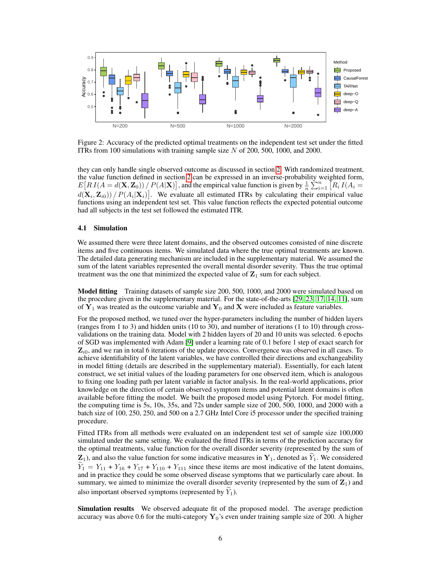<span id="page-5-1"></span>

Figure 2: Accuracy of the predicted optimal treatments on the independent test set under the fitted ITRs from 100 simulations with training sample size  $N$  of 200, 500, 1000, and 2000.

they can only handle single observed outcome as discussed in section [2.](#page-1-0) With randomized treatment, the value function defined in section [2](#page-1-0) can be expressed in an inverse-probability weighted form,  $E[RI(A = d(X, Z_0)) / P(A|X)]$ , and the empirical value function is given by  $\frac{1}{n} \sum_{i=1}^{n} [R_i I(A_i = k)]$  $d(\mathbf{X}_i, \mathbf{Z}_{i0})/P(A_i|\mathbf{X}_i)].$  We evaluate all estimated ITRs by calculating their empirical value functions using an independent test set. This value function reflects the expected potential outcome had all subjects in the test set followed the estimated ITR.

#### <span id="page-5-0"></span>4.1 Simulation

We assumed there were three latent domains, and the observed outcomes consisted of nine discrete items and five continuous items. We simulated data where the true optimal treatments are known. The detailed data generating mechanism are included in the supplementary material. We assumed the sum of the latent variables represented the overall mental disorder severity. Thus the true optimal treatment was the one that minimized the expected value of  $\mathbf{Z}_1$  sum for each subject.

Model fitting Training datasets of sample size 200, 500, 1000, and 2000 were simulated based on the procedure given in the supplementary material. For the state-of-the-arts [\[29,](#page-10-0) [23,](#page-10-1) [17,](#page-10-11) [14,](#page-9-8) [11\]](#page-9-9), sum of  $Y_1$  was treated as the outcome variable and  $Y_0$  and X were included as feature variables.

For the proposed method, we tuned over the hyper-parameters including the number of hidden layers (ranges from 1 to 3) and hidden units (10 to 30), and number of iterations (1 to 10) through crossvalidations on the training data. Model with 2 hidden layers of 20 and 10 units was selected. 6 epochs of SGD was implemented with Adam [\[9\]](#page-9-11) under a learning rate of 0.1 before 1 step of exact search for  $\mathbf{Z}_{i0}$ , and we ran in total 6 iterations of the update process. Convergence was observed in all cases. To achieve identifiability of the latent variables, we have controlled their directions and exchangeability in model fitting (details are described in the supplementary material). Essentially, for each latent construct, we set initial values of the loading parameters for one observed item, which is analogous to fixing one loading path per latent variable in factor analysis. In the real-world applications, prior knowledge on the direction of certain observed symptom items and potential latent domains is often available before fitting the model. We built the proposed model using Pytorch. For model fitting, the computing time is 5s, 10s, 35s, and 72s under sample size of 200, 500, 1000, and 2000 with a batch size of 100, 250, 250, and 500 on a 2.7 GHz Intel Core i5 processor under the specified training procedure.

Fitted ITRs from all methods were evaluated on an independent test set of sample size 100,000 simulated under the same setting. We evaluated the fitted ITRs in terms of the prediction accuracy for the optimal treatments, value function for the overall disorder severity (represented by the sum of  $\mathbf{Z}_1$ ), and also the value function for some indicative measures in  $\mathbf{Y}_1$ , denoted as  $Y_1$ . We considered  $\hat{Y}_1 = Y_{11} + Y_{16} + Y_{17} + Y_{110} + Y_{111}$  since these items are most indicative of the latent domains, and in practice they could be some observed disease symptoms that we particularly care about. In summary, we aimed to minimize the overall disorder severity (represented by the sum of  $\mathbf{Z}_1$ ) and also important observed symptoms (represented by  $\tilde{Y}_1$ ).

Simulation results We observed adequate fit of the proposed model. The average prediction accuracy was above 0.6 for the multi-category  $\mathbf{Y}_0$ 's even under training sample size of 200. A higher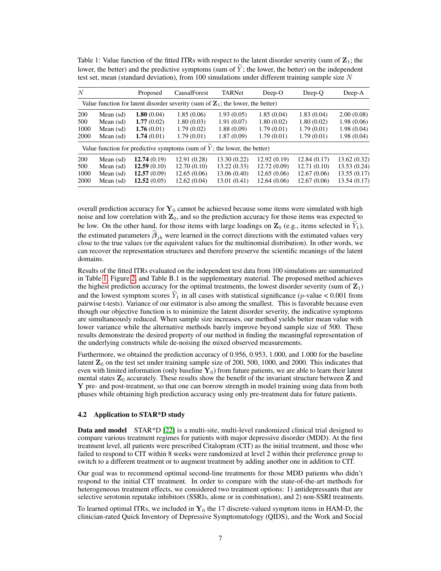| N          |             | Proposed    | CausalForest                                                                                | TARNet      | $Deep-O$     | Deep-Q      | Deep-A       |
|------------|-------------|-------------|---------------------------------------------------------------------------------------------|-------------|--------------|-------------|--------------|
|            |             |             | Value function for latent disorder severity (sum of $\mathbb{Z}_1$ ; the lower, the better) |             |              |             |              |
| <b>200</b> | Mean (sd)   | 1.80(0.04)  | 1.85(0.06)                                                                                  | 1.93(0.05)  | 1.85(0.04)   | 1.83(0.04)  | 2.00(0.08)   |
| 500        | Mean (sd)   | 1.77(0.02)  | 1.80(0.03)                                                                                  | 1.91(0.07)  | 1.80(0.02)   | 1.80(0.02)  | 1.98(0.06)   |
| 1000       | Mean $(sd)$ | 1.76(0.01)  | 1.79(0.02)                                                                                  | 1.88(0.09)  | 1.79(0.01)   | 1.79(0.01)  | 1.98(0.04)   |
| 2000       | Mean $(sd)$ | 1.74(0.01)  | 1.79(0.01)                                                                                  | 1.87(0.09)  | 1.79(0.01)   | 1.79(0.01)  | 1.98(0.04)   |
|            |             |             | Value function for predictive symptoms (sum of $Y$ ; the lower, the better)                 |             |              |             |              |
| <b>200</b> | Mean (sd)   | 12.74(0.19) | 12.91 (0.28)                                                                                | 13.30(0.22) | 12.92(0.19)  | 12.84(0.17) | 13.62(0.32)  |
| 500        | Mean $(sd)$ | 12.59(0.10) | 12.70(0.10)                                                                                 | 13.22(0.33) | 12.72(0.09)  | 12.71(0.10) | 13.53 (0.24) |
| 1000       | Mean $(sd)$ | 12.57(0.09) | 12.65(0.06)                                                                                 | 13.06(0.40) | 12.65(0.06)  | 12.67(0.06) | 13.55(0.17)  |
| 2000       | Mean $(sd)$ | 12.52(0.05) | 12.62(0.04)                                                                                 | 13.01(0.41) | 12.64 (0.06) | 12.67(0.06) | 13.54 (0.17) |

<span id="page-6-0"></span>Table 1: Value function of the fitted ITRs with respect to the latent disorder severity (sum of  $\mathbb{Z}_1$ ; the lower, the better) and the predictive symptoms (sum of  $\tilde{Y}$ ; the lower, the better) on the independent test set, mean (standard deviation), from 100 simulations under different training sample size  $N$ 

overall prediction accuracy for  $Y_0$  cannot be achieved because some items were simulated with high noise and low correlation with  $\mathbf{Z}_0$ , and so the prediction accuracy for those items was expected to be low. On the other hand, for those items with large loadings on  $\mathbf{Z}_0$  (e.g., items selected in  $\tilde{Y}_1$ ), the estimated parameters  $\beta_{jk}$  were learned in the correct directions with the estimated values very close to the true values (or the equivalent values for the multinomial distribution). In other words, we can recover the representation structures and therefore preserve the scientific meanings of the latent domains.

Results of the fitted ITRs evaluated on the independent test data from 100 simulations are summarized in Table [1,](#page-6-0) Figure [2,](#page-5-1) and Table B.1 in the supplementary material. The proposed method achieves the highest prediction accuracy for the optimal treatments, the lowest disorder severity (sum of  $\mathbb{Z}_1$ ) and the lowest symptom scores  $\tilde{Y}_1$  in all cases with statistical significance (p-value < 0.001 from pairwise t-tests). Variance of our estimator is also among the smallest. This is favorable because even though our objective function is to minimize the latent disorder severity, the indicative symptoms are simultaneously reduced. When sample size increases, our method yields better mean value with lower variance while the alternative methods barely improve beyond sample size of 500. These results demonstrate the desired property of our method in finding the meaningful representation of the underlying constructs while de-noising the mixed observed measurements.

Furthermore, we obtained the prediction accuracy of 0.956, 0.953, 1.000, and 1.000 for the baseline latent  $\mathbb{Z}_0$  on the test set under training sample size of 200, 500, 1000, and 2000. This indicates that even with limited information (only baseline  $\mathbf{Y}_0$ ) from future patients, we are able to learn their latent mental states  $\mathbb{Z}_0$  accurately. These results show the benefit of the invariant structure between  $\mathbb{Z}$  and Y pre- and post-treatment, so that one can borrow strength in model training using data from both phases while obtaining high prediction accuracy using only pre-treatment data for future patients.

#### 4.2 Application to STAR\*D study

**Data and model** STAR<sup>\*</sup>D [\[22\]](#page-10-17) is a multi-site, multi-level randomized clinical trial designed to compare various treatment regimes for patients with major depressive disorder (MDD). At the first treatment level, all patients were prescribed Citalopram (CIT) as the initial treatment, and those who failed to respond to CIT within 8 weeks were randomized at level 2 within their preference group to switch to a different treatment or to augment treatment by adding another one in addition to CIT.

Our goal was to recommend optimal second-line treatments for those MDD patients who didn't respond to the initial CIT treatment. In order to compare with the state-of-the-art methods for heterogeneous treatment effects, we considered two treatment options: 1) antidepressants that are selective serotonin reputake inhibitors (SSRIs, alone or in combination), and 2) non-SSRI treatments.

To learned optimal ITRs, we included in  $Y_0$  the 17 discrete-valued symptom items in HAM-D, the clinician-rated Quick Inventory of Depressive Symptomatology (QIDS), and the Work and Social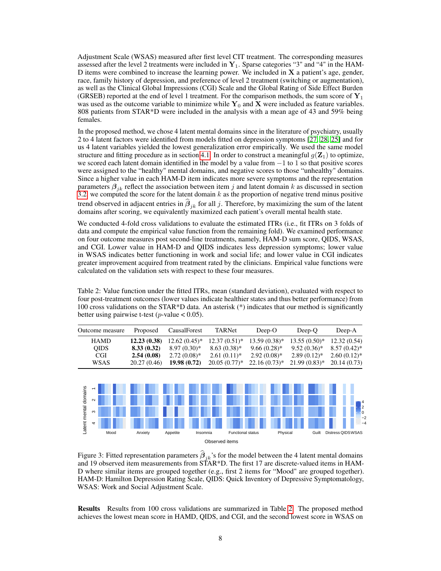Adjustment Scale (WSAS) measured after first level CIT treatment. The corresponding measures assessed after the level 2 treatments were included in  $Y_1$ . Sparse categories "3" and "4" in the HAM-D items were combined to increase the learning power. We included in  $X$  a patient's age, gender, race, family history of depression, and preference of level 2 treatment (switching or augmentation), as well as the Clinical Global Impressions (CGI) Scale and the Global Rating of Side Effect Burden (GRSEB) reported at the end of level 1 treatment. For the comparison methods, the sum score of  $Y_1$ was used as the outcome variable to minimize while  $Y_0$  and X were included as feature variables. 808 patients from STAR\*D were included in the analysis with a mean age of 43 and 59% being females.

In the proposed method, we chose 4 latent mental domains since in the literature of psychiatry, usually 2 to 4 latent factors were identified from models fitted on depression symptoms [\[27,](#page-10-13) [28,](#page-10-14) [25\]](#page-10-15) and for us 4 latent variables yielded the lowest generalization error empirically. We used the same model structure and fitting procedure as in section [4.1.](#page-5-0) In order to construct a meaningful  $g(\mathbf{Z}_1)$  to optimize, we scored each latent domain identified in the model by a value from −1 to 1 so that positive scores were assigned to the "healthy" mental domains, and negative scores to those "unhealthy" domains. Since a higher value in each HAM-D item indicates more severe symptoms and the representation parameters  $\beta_{ik}$  reflect the association between item j and latent domain k as discussed in section [3.2,](#page-3-1) we computed the score for the latent domain  $k$  as the proportion of negative trend minus positive trend observed in adjacent entries in  $\beta_{jk}$  for all j. Therefore, by maximizing the sum of the latent<br>densing often asseming the sum conjugated propining to see assignt's assembly martel hadden total domains after scoring, we equivalently maximized each patient's overall mental health state.

We conducted 4-fold cross validations to evaluate the estimated ITRs (i.e., fit ITRs on 3 folds of data and compute the empirical value function from the remaining fold). We examined performance on four outcome measures post second-line treatments, namely, HAM-D sum score, QIDS, WSAS, and CGI. Lower value in HAM-D and QIDS indicates less depression symptoms; lower value in WSAS indicates better functioning in work and social life; and lower value in CGI indicates greater improvement acquired from treatment rated by the clinicians. Empirical value functions were calculated on the validation sets with respect to these four measures.

<span id="page-7-0"></span>Table 2: Value function under the fitted ITRs, mean (standard deviation), evaluated with respect to four post-treatment outcomes (lower values indicate healthier states and thus better performance) from 100 cross validations on the STAR\*D data. An asterisk (\*) indicates that our method is significantly better using pairwise t-test (*p*-value  $< 0.05$ ).

| Outcome measure | Proposed    | CausalForest                      | TARNet          | $Deep-O$                                                               | Deep-O          | Deep-A         |
|-----------------|-------------|-----------------------------------|-----------------|------------------------------------------------------------------------|-----------------|----------------|
| <b>HAMD</b>     |             | <b>12.23 (0.38)</b> 12.62 (0.45)* |                 | $12.37(0.51)^{*}$ 13.59 $(0.38)^{*}$ 13.55 $(0.50)^{*}$ 12.32 $(0.54)$ |                 |                |
| <b>OIDS</b>     | 8.33(0.32)  | $8.97(0.30)*$                     | $8.63(0.38)$ *  | $9.66(0.28)$ *                                                         | $9.52(0.36)^*$  | $8.57(0.42)^*$ |
| CGI.            | 2.54(0.08)  | $2.72(0.08)$ *                    | $2.61(0.11)*$   | $2.92(0.08)$ *                                                         | $2.89(0.12)$ *  | $2.60(0.12)$ * |
| <b>WSAS</b>     | 20.27(0.46) | 19.98(0.72)                       | $20.05(0.77)$ * | $22.16(0.73)*$                                                         | $21.99(0.83)$ * | 20.14(0.73)    |

<span id="page-7-1"></span>

Figure 3: Fitted representation parameters  $\beta_{jk}$ 's for the model between the 4 latent mental domains and 19 observed item measurements from STAR\*D. The first 17 are discrete-valued items in HAM-D where similar items are grouped together (e.g., first 2 items for "Mood" are grouped together). HAM-D: Hamilton Depression Rating Scale, QIDS: Quick Inventory of Depressive Symptomatology, WSAS: Work and Social Adjustment Scale.

Results Results from 100 cross validations are summarized in Table [2.](#page-7-0) The proposed method achieves the lowest mean score in HAMD, QIDS, and CGI, and the second lowest score in WSAS on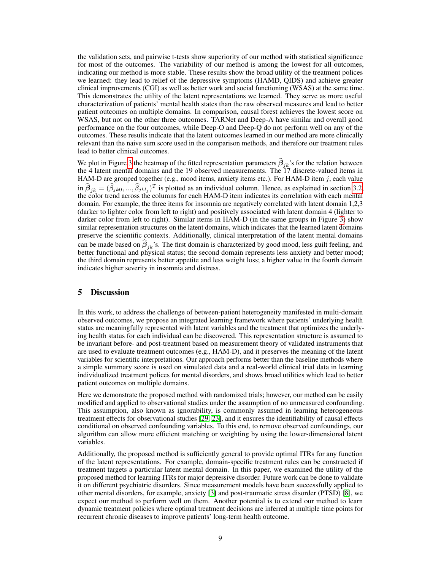the validation sets, and pairwise t-tests show superiority of our method with statistical significance for most of the outcomes. The variability of our method is among the lowest for all outcomes, indicating our method is more stable. These results show the broad utility of the treatment polices we learned: they lead to relief of the depressive symptoms (HAMD, QIDS) and achieve greater clinical improvements (CGI) as well as better work and social functioning (WSAS) at the same time. This demonstrates the utility of the latent representations we learned. They serve as more useful characterization of patients' mental health states than the raw observed measures and lead to better patient outcomes on multiple domains. In comparison, causal forest achieves the lowest score on WSAS, but not on the other three outcomes. TARNet and Deep-A have similar and overall good performance on the four outcomes, while Deep-O and Deep-Q do not perform well on any of the outcomes. These results indicate that the latent outcomes learned in our method are more clinically relevant than the naive sum score used in the comparison methods, and therefore our treatment rules lead to better clinical outcomes.

We plot in Figure [3](#page-7-1) the heatmap of the fitted representation parameters  $\beta_{jk}$ 's for the relation between the all the relation between the 4 latent mental domains and the 19 observed measurements. The 17 discrete-valued items in HAM-D are grouped together (e.g., mood items, anxiety items etc.). For HAM-D item  $j$ , each value  $\hat{\mathbf{B}}_{jk} = (\hat{\beta}_{jk0}, ..., \hat{\beta}_{jklj})^T$  is plotted as an individual column. Hence, as explained in section [3.2,](#page-3-1) the color trend across the columns for each HAM-D item indicates its correlation with each mental domain. For example, the three items for insomnia are negatively correlated with latent domain 1,2,3 (darker to lighter color from left to right) and positively associated with latent domain 4 (lighter to darker color from left to right). Similar items in HAM-D (in the same groups in Figure [3\)](#page-7-1) show similar representation structures on the latent domains, which indicates that the learned latent domains preserve the scientific contexts. Additionally, clinical interpretation of the latent mental domains can be made based on  $\beta_{jk}$ 's. The first domain is characterized by good mood, less guilt feeling, and<br>hetter functional and physical etation the accord domain generated less anniets and hetter moods better functional and physical status; the second domain represents less anxiety and better mood; the third domain represents better appetite and less weight loss; a higher value in the fourth domain indicates higher severity in insomnia and distress.

## <span id="page-8-0"></span>5 Discussion

In this work, to address the challenge of between-patient heterogeneity manifested in multi-domain observed outcomes, we propose an integrated learning framework where patients' underlying health status are meaningfully represented with latent variables and the treatment that optimizes the underlying health status for each individual can be discovered. This representation structure is assumed to be invariant before- and post-treatment based on measurement theory of validated instruments that are used to evaluate treatment outcomes (e.g., HAM-D), and it preserves the meaning of the latent variables for scientific interpretations. Our approach performs better than the baseline methods where a simple summary score is used on simulated data and a real-world clinical trial data in learning individualized treatment polices for mental disorders, and shows broad utilities which lead to better patient outcomes on multiple domains.

Here we demonstrate the proposed method with randomized trials; however, our method can be easily modified and applied to observational studies under the assumption of no unmeasured confounding. This assumption, also known as ignorability, is commonly assumed in learning heterogeneous treatment effects for observational studies [\[29,](#page-10-0) [23\]](#page-10-1), and it ensures the identifiability of causal effects conditional on observed confounding variables. To this end, to remove observed confoundings, our algorithm can allow more efficient matching or weighting by using the lower-dimensional latent variables.

Additionally, the proposed method is sufficiently general to provide optimal ITRs for any function of the latent representations. For example, domain-specific treatment rules can be constructed if treatment targets a particular latent mental domain. In this paper, we examined the utility of the proposed method for learning ITRs for major depressive disorder. Future work can be done to validate it on different psychiatric disorders. Since measurement models have been successfully applied to other mental disorders, for example, anxiety [\[3\]](#page-9-12) and post-traumatic stress disorder (PTSD) [\[8\]](#page-9-13), we expect our method to perform well on them. Another potential is to extend our method to learn dynamic treatment policies where optimal treatment decisions are inferred at multiple time points for recurrent chronic diseases to improve patients' long-term health outcome.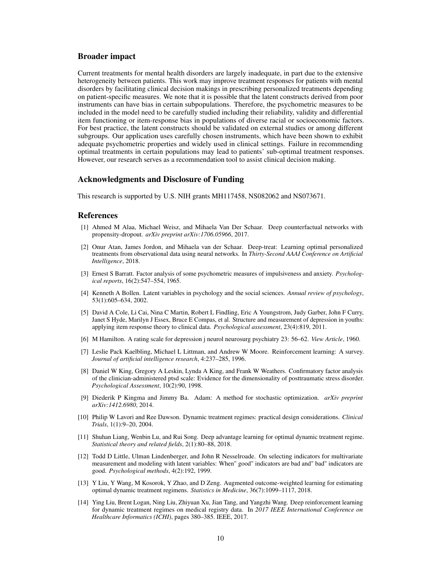# Broader impact

Current treatments for mental health disorders are largely inadequate, in part due to the extensive heterogeneity between patients. This work may improve treatment responses for patients with mental disorders by facilitating clinical decision makings in prescribing personalized treatments depending on patient-specific measures. We note that it is possible that the latent constructs derived from poor instruments can have bias in certain subpopulations. Therefore, the psychometric measures to be included in the model need to be carefully studied including their reliability, validity and differential item functioning or item-response bias in populations of diverse racial or socioeconomic factors. For best practice, the latent constructs should be validated on external studies or among different subgroups. Our application uses carefully chosen instruments, which have been shown to exhibit adequate psychometric properties and widely used in clinical settings. Failure in recommending optimal treatments in certain populations may lead to patients' sub-optimal treatment responses. However, our research serves as a recommendation tool to assist clinical decision making.

### Acknowledgments and Disclosure of Funding

This research is supported by U.S. NIH grants MH117458, NS082062 and NS073671.

# References

- <span id="page-9-3"></span>[1] Ahmed M Alaa, Michael Weisz, and Mihaela Van Der Schaar. Deep counterfactual networks with propensity-dropout. *arXiv preprint arXiv:1706.05966*, 2017.
- <span id="page-9-4"></span>[2] Onur Atan, James Jordon, and Mihaela van der Schaar. Deep-treat: Learning optimal personalized treatments from observational data using neural networks. In *Thirty-Second AAAI Conference on Artificial Intelligence*, 2018.
- <span id="page-9-12"></span>[3] Ernest S Barratt. Factor analysis of some psychometric measures of impulsiveness and anxiety. *Psychological reports*, 16(2):547–554, 1965.
- <span id="page-9-2"></span>[4] Kenneth A Bollen. Latent variables in psychology and the social sciences. *Annual review of psychology*, 53(1):605–634, 2002.
- <span id="page-9-1"></span>[5] David A Cole, Li Cai, Nina C Martin, Robert L Findling, Eric A Youngstrom, Judy Garber, John F Curry, Janet S Hyde, Marilyn J Essex, Bruce E Compas, et al. Structure and measurement of depression in youths: applying item response theory to clinical data. *Psychological assessment*, 23(4):819, 2011.
- <span id="page-9-0"></span>[6] M Hamilton. A rating scale for depression j neurol neurosurg psychiatry 23: 56–62. *View Article*, 1960.
- <span id="page-9-5"></span>[7] Leslie Pack Kaelbling, Michael L Littman, and Andrew W Moore. Reinforcement learning: A survey. *Journal of artificial intelligence research*, 4:237–285, 1996.
- <span id="page-9-13"></span>[8] Daniel W King, Gregory A Leskin, Lynda A King, and Frank W Weathers. Confirmatory factor analysis of the clinician-administered ptsd scale: Evidence for the dimensionality of posttraumatic stress disorder. *Psychological Assessment*, 10(2):90, 1998.
- <span id="page-9-11"></span>[9] Diederik P Kingma and Jimmy Ba. Adam: A method for stochastic optimization. *arXiv preprint arXiv:1412.6980*, 2014.
- <span id="page-9-7"></span>[10] Philip W Lavori and Ree Dawson. Dynamic treatment regimes: practical design considerations. *Clinical Trials*, 1(1):9–20, 2004.
- <span id="page-9-9"></span>[11] Shuhan Liang, Wenbin Lu, and Rui Song. Deep advantage learning for optimal dynamic treatment regime. *Statistical theory and related fields*, 2(1):80–88, 2018.
- <span id="page-9-10"></span>[12] Todd D Little, Ulman Lindenberger, and John R Nesselroade. On selecting indicators for multivariate measurement and modeling with latent variables: When" good" indicators are bad and" bad" indicators are good. *Psychological methods*, 4(2):192, 1999.
- <span id="page-9-6"></span>[13] Y Liu, Y Wang, M Kosorok, Y Zhao, and D Zeng. Augmented outcome-weighted learning for estimating optimal dynamic treatment regimens. *Statistics in Medicine*, 36(7):1099–1117, 2018.
- <span id="page-9-8"></span>[14] Ying Liu, Brent Logan, Ning Liu, Zhiyuan Xu, Jian Tang, and Yangzhi Wang. Deep reinforcement learning for dynamic treatment regimes on medical registry data. In *2017 IEEE International Conference on Healthcare Informatics (ICHI)*, pages 380–385. IEEE, 2017.